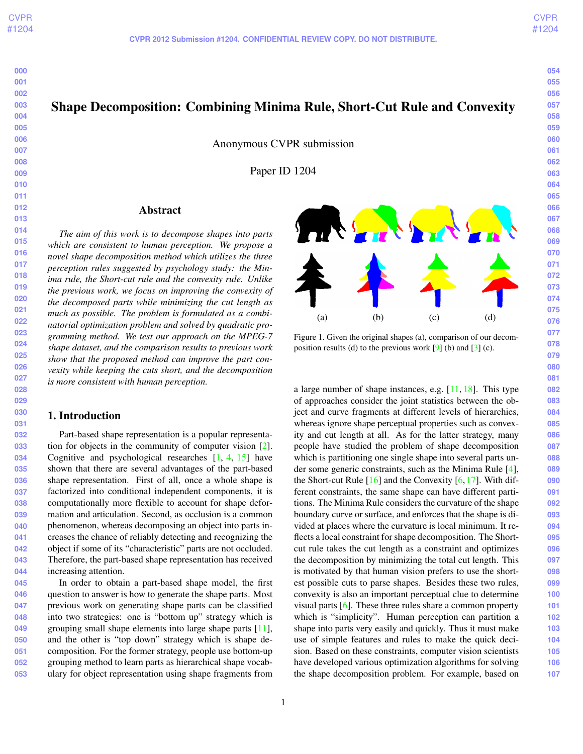# <span id="page-0-0"></span>Shape Decomposition: Combining Minima Rule, Short-Cut Rule and Convexity

Anonymous CVPR submission

Paper ID 1204

# Abstract

*The aim of this work is to decompose shapes into parts which are consistent to human perception. We propose a novel shape decomposition method which utilizes the three perception rules suggested by psychology study: the Minima rule, the Short-cut rule and the convexity rule. Unlike the previous work, we focus on improving the convexity of the decomposed parts while minimizing the cut length as much as possible. The problem is formulated as a combinatorial optimization problem and solved by quadratic programming method. We test our approach on the MPEG-7 shape dataset, and the comparison results to previous work show that the proposed method can improve the part convexity while keeping the cuts short, and the decomposition is more consistent with human perception.*

### 1. Introduction

Part-based shape representation is a popular representation for objects in the community of computer vision [\[2\]](#page-5-0). Cognitive and psychological researches [\[1,](#page-5-1) [4,](#page-5-2) [15\]](#page-7-0) have shown that there are several advantages of the part-based shape representation. First of all, once a whole shape is factorized into conditional independent components, it is computationally more flexible to account for shape deformation and articulation. Second, as occlusion is a common phenomenon, whereas decomposing an object into parts increases the chance of reliably detecting and recognizing the object if some of its "characteristic" parts are not occluded. Therefore, the part-based shape representation has received increasing attention.

**045 046 047 048 049 050 051 052 053** In order to obtain a part-based shape model, the first question to answer is how to generate the shape parts. Most previous work on generating shape parts can be classified into two strategies: one is "bottom up" strategy which is grouping small shape elements into large shape parts [\[11\]](#page-7-1), and the other is "top down" strategy which is shape decomposition. For the former strategy, people use bottom-up grouping method to learn parts as hierarchical shape vocabulary for object representation using shape fragments from



Figure 1. Given the original shapes (a), comparison of our decomposition results (d) to the previous work  $[9]$  (b) and  $[3]$  (c).

a large number of shape instances, e.g. [\[11,](#page-7-1) [18\]](#page-7-3). This type of approaches consider the joint statistics between the object and curve fragments at different levels of hierarchies, whereas ignore shape perceptual properties such as convexity and cut length at all. As for the latter strategy, many people have studied the problem of shape decomposition which is partitioning one single shape into several parts under some generic constraints, such as the Minima Rule [\[4\]](#page-5-2), the Short-cut Rule  $[16]$  and the Convexity  $[6, 17]$  $[6, 17]$  $[6, 17]$ . With different constraints, the same shape can have different partitions. The Minima Rule considers the curvature of the shape boundary curve or surface, and enforces that the shape is divided at places where the curvature is local minimum. It reflects a local constraint for shape decomposition. The Shortcut rule takes the cut length as a constraint and optimizes the decomposition by minimizing the total cut length. This is motivated by that human vision prefers to use the shortest possible cuts to parse shapes. Besides these two rules, convexity is also an important perceptual clue to determine visual parts [\[6\]](#page-7-5). These three rules share a common property which is "simplicity". Human perception can partition a shape into parts very easily and quickly. Thus it must make use of simple features and rules to make the quick decision. Based on these constraints, computer vision scientists have developed various optimization algorithms for solving the shape decomposition problem. For example, based on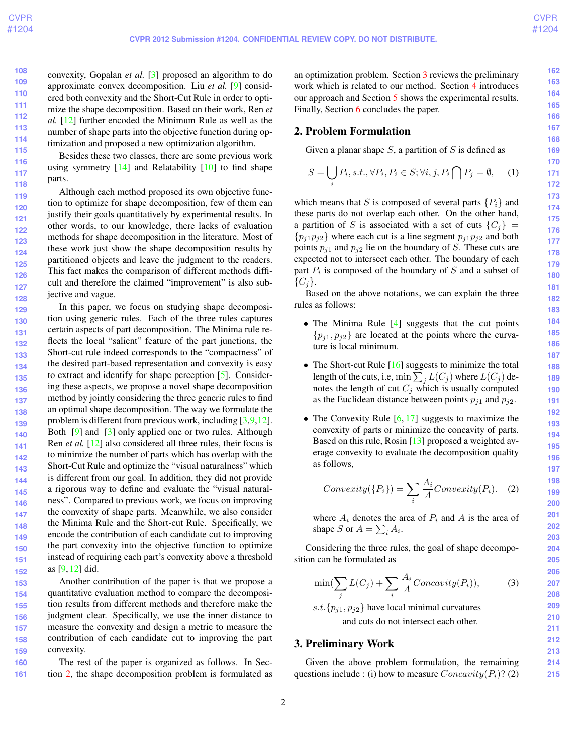**121**

**124**

**127**

**162 163 164**

<span id="page-1-4"></span>**108 109 110 111 112 113 114 115** convexity, Gopalan *et al.* [\[3\]](#page-5-3) proposed an algorithm to do approximate convex decomposition. Liu *et al.* [\[9\]](#page-7-2) considered both convexity and the Short-Cut Rule in order to optimize the shape decomposition. Based on their work, Ren *et al.* [\[12\]](#page-7-7) further encoded the Minimum Rule as well as the number of shape parts into the objective function during optimization and proposed a new optimization algorithm.

Besides these two classes, there are some previous work using symmetry  $[14]$  and Relatability  $[10]$  to find shape parts.

**119 120 122 123 125 126** Although each method proposed its own objective function to optimize for shape decomposition, few of them can justify their goals quantitatively by experimental results. In other words, to our knowledge, there lacks of evaluation methods for shape decomposition in the literature. Most of these work just show the shape decomposition results by partitioned objects and leave the judgment to the readers. This fact makes the comparison of different methods difficult and therefore the claimed "improvement" is also subjective and vague.

**128 129 130 131 132 133 134 135 136 137 138 139 140 141 142 143 144 145 146 147 148 149 150 151 152** In this paper, we focus on studying shape decomposition using generic rules. Each of the three rules captures certain aspects of part decomposition. The Minima rule reflects the local "salient" feature of the part junctions, the Short-cut rule indeed corresponds to the "compactness" of the desired part-based representation and convexity is easy to extract and identify for shape perception [\[5\]](#page-6-0). Considering these aspects, we propose a novel shape decomposition method by jointly considering the three generic rules to find an optimal shape decomposition. The way we formulate the problem is different from previous work, including  $[3,9,12]$  $[3,9,12]$  $[3,9,12]$ . Both [\[9\]](#page-7-2) and [\[3\]](#page-5-3) only applied one or two rules. Although Ren *et al.* [\[12\]](#page-7-7) also considered all three rules, their focus is to minimize the number of parts which has overlap with the Short-Cut Rule and optimize the "visual naturalness" which is different from our goal. In addition, they did not provide a rigorous way to define and evaluate the "visual naturalness". Compared to previous work, we focus on improving the convexity of shape parts. Meanwhile, we also consider the Minima Rule and the Short-cut Rule. Specifically, we encode the contribution of each candidate cut to improving the part convexity into the objective function to optimize instead of requiring each part's convexity above a threshold as [\[9,](#page-7-2) [12\]](#page-7-7) did.

**153 154 155 156 157 158 159** Another contribution of the paper is that we propose a quantitative evaluation method to compare the decomposition results from different methods and therefore make the judgment clear. Specifically, we use the inner distance to measure the convexity and design a metric to measure the contribution of each candidate cut to improving the part convexity.

**160 161** The rest of the paper is organized as follows. In Section [2,](#page-1-0) the shape decomposition problem is formulated as an optimization problem. Section [3](#page-1-1) reviews the preliminary work which is related to our method. Section [4](#page-3-0) introduces our approach and Section [5](#page-4-0) shows the experimental results. Finally, Section [6](#page-5-4) concludes the paper.

# <span id="page-1-0"></span>2. Problem Formulation

Given a planar shape  $S$ , a partition of  $S$  is defined as

$$
S = \bigcup_{i} P_i, s.t., \forall P_i, P_i \in S; \forall i, j, P_i \bigcap P_j = \emptyset, \quad (1)
$$

which means that S is composed of several parts  $\{P_i\}$  and these parts do not overlap each other. On the other hand, a partition of S is associated with a set of cuts  $\{C_j\}$  =  $\{\overline{p_{j1}p_{j2}}\}$  where each cut is a line segment  $\overline{p_{j1}p_{j2}}$  and both points  $p_{i1}$  and  $p_{i2}$  lie on the boundary of S. These cuts are expected not to intersect each other. The boundary of each part  $P_i$  is composed of the boundary of  $S$  and a subset of  $\{C_j\}.$ 

Based on the above notations, we can explain the three rules as follows:

- The Minima Rule [\[4\]](#page-5-2) suggests that the cut points  ${p_{i1}, p_{i2}}$  are located at the points where the curvature is local minimum.
- The Short-cut Rule [\[16\]](#page-7-4) suggests to minimize the total length of the cuts, i.e,  $\min\sum_j L(C_j)$  where  $L(C_j )$  denotes the length of cut  $C_j$  which is usually computed as the Euclidean distance between points  $p_{j1}$  and  $p_{j2}$ .
- The Convexity Rule  $[6, 17]$  $[6, 17]$  $[6, 17]$  suggests to maximize the convexity of parts or minimize the concavity of parts. Based on this rule, Rosin [\[13\]](#page-7-10) proposed a weighted average convexity to evaluate the decomposition quality as follows,

<span id="page-1-3"></span>
$$
Convexity(\lbrace P_i \rbrace) = \sum_{i} \frac{A_i}{A} Convexity(P_i). \quad (2)
$$

where  $A_i$  denotes the area of  $P_i$  and A is the area of shape S or  $A = \sum_i A_i$ .

Considering the three rules, the goal of shape decomposition can be formulated as

<span id="page-1-2"></span>
$$
\min(\sum_{j} L(C_j) + \sum_{i} \frac{A_i}{A}Concavity(P_i)),\tag{3}
$$

s.t.  $\{p_{j1}, p_{j2}\}\$  have local minimal curvatures and cuts do not intersect each other.

# <span id="page-1-1"></span>3. Preliminary Work

Given the above problem formulation, the remaining questions include : (i) how to measure  $Concavity(P_i)$ ? (2)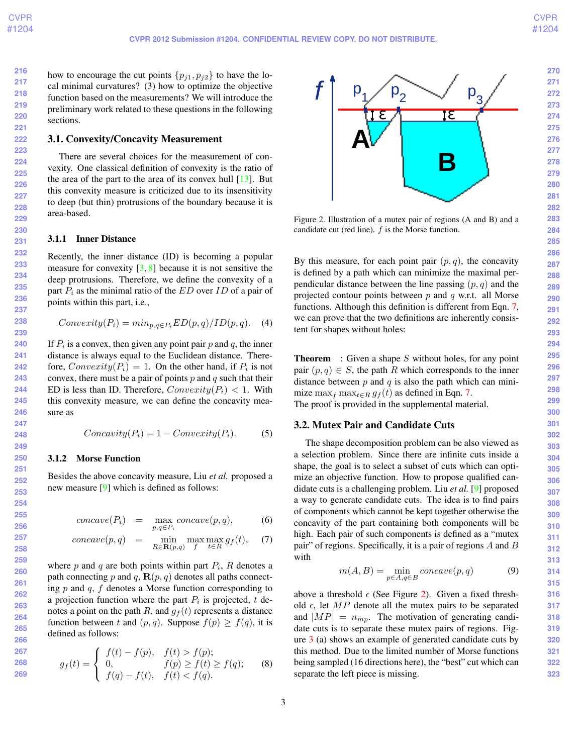<span id="page-2-2"></span>**216 217 218 219 220 221** how to encourage the cut points  $\{p_{i1}, p_{i2}\}\$  to have the local minimal curvatures? (3) how to optimize the objective function based on the measurements? We will introduce the preliminary work related to these questions in the following sections.

### 3.1. Convexity/Concavity Measurement

There are several choices for the measurement of convexity. One classical definition of convexity is the ratio of the area of the part to the area of its convex hull  $[13]$ . But this convexity measure is criticized due to its insensitivity to deep (but thin) protrusions of the boundary because it is area-based.

#### 3.1.1 Inner Distance

Recently, the inner distance (ID) is becoming a popular measure for convexity  $[3, 8]$  $[3, 8]$  $[3, 8]$  because it is not sensitive the deep protrusions. Therefore, we define the convexity of a part  $P_i$  as the minimal ratio of the  $ED$  over  $ID$  of a pair of points within this part, i.e.,

$$
Convexity(P_i) = min_{p,q \in P_i} ED(p,q)/ID(p,q).
$$
 (4)

If  $P_i$  is a convex, then given any point pair p and q, the inner distance is always equal to the Euclidean distance. Therefore,  $Convexity(P_i) = 1$ . On the other hand, if  $P_i$  is not convex, there must be a pair of points  $p$  and  $q$  such that their ED is less than ID. Therefore,  $Convexity(P_i) < 1$ . With this convexity measure, we can define the concavity measure as

$$
Concavity(P_i) = 1 - Convexity(P_i). \tag{5}
$$

#### 3.1.2 Morse Function

Besides the above concavity measure, Liu *et al.* proposed a new measure [\[9\]](#page-7-2) which is defined as follows:

<span id="page-2-0"></span>
$$
concave(P_i) = \max_{p,q \in P_i} concave(p,q), \qquad (6)
$$

$$
concave(p,q) = \min_{R \in \mathbf{R}(p,q)} \max_{f} \max_{t \in R} g_f(t), \quad (7)
$$

where  $p$  and  $q$  are both points within part  $P_i$ ,  $R$  denotes a path connecting p and q,  $\mathbf{R}(p,q)$  denotes all paths connecting  $p$  and  $q$ ,  $f$  denotes a Morse function corresponding to a projection function where the part  $P_i$  is projected, t denotes a point on the path R, and  $g_f(t)$  represents a distance function between t and  $(p, q)$ . Suppose  $f(p) \ge f(q)$ , it is defined as follows:

$$
g_f(t) = \begin{cases} f(t) - f(p), & f(t) > f(p); \\ 0, & f(p) \ge f(t) \ge f(q); \\ f(q) - f(t), & f(t) < f(q). \end{cases}
$$
 (8)



<span id="page-2-1"></span>Figure 2. Illustration of a mutex pair of regions (A and B) and a candidate cut (red line).  $f$  is the Morse function.

By this measure, for each point pair  $(p, q)$ , the concavity is defined by a path which can minimize the maximal perpendicular distance between the line passing  $(p, q)$  and the projected contour points between  $p$  and  $q$  w.r.t. all Morse functions. Although this definition is different from Eqn. [7,](#page-2-0) we can prove that the two definitions are inherently consistent for shapes without holes:

**Theorem** : Given a shape S without holes, for any point pair  $(p, q) \in S$ , the path R which corresponds to the inner distance between  $p$  and  $q$  is also the path which can minimize max<sub>f</sub> max<sub>t∈R</sub>  $g_f(t)$  as defined in Eqn. [7.](#page-2-0) The proof is provided in the supplemental material.

### 3.2. Mutex Pair and Candidate Cuts

The shape decomposition problem can be also viewed as a selection problem. Since there are infinite cuts inside a shape, the goal is to select a subset of cuts which can optimize an objective function. How to propose qualified candidate cuts is a challenging problem. Liu *et al.* [\[9\]](#page-7-2) proposed a way to generate candidate cuts. The idea is to find pairs of components which cannot be kept together otherwise the concavity of the part containing both components will be high. Each pair of such components is defined as a "mutex pair" of regions. Specifically, it is a pair of regions  $A$  and  $B$ with

$$
m(A, B) = \min_{p \in A, q \in B} concave(p, q)
$$
 (9)

above a threshold  $\epsilon$  (See Figure [2\)](#page-2-1). Given a fixed threshold  $\epsilon$ , let MP denote all the mutex pairs to be separated and  $|MP| = n_{mp}$ . The motivation of generating candidate cuts is to separate these mutex pairs of regions. Figure [3](#page-3-1) (a) shows an example of generated candidate cuts by this method. Due to the limited number of Morse functions being sampled (16 directions here), the "best" cut which can separate the left piece is missing.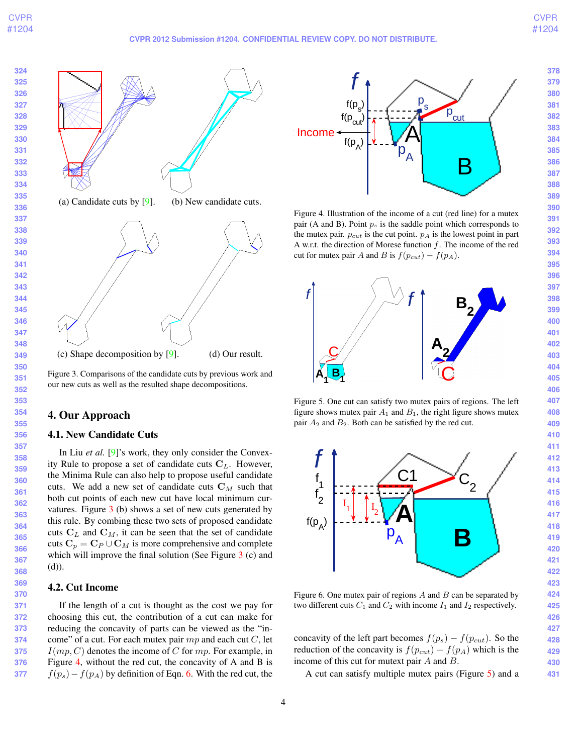#### **CVPR 2012 Submission #1204. CONFIDENTIAL REVIEW COPY. DO NOT DISTRIBUTE.**

<span id="page-3-5"></span>

<span id="page-3-1"></span>Figure 3. Comparisons of the candidate cuts by previous work and our new cuts as well as the resulted shape decompositions.

# <span id="page-3-0"></span>4. Our Approach

### 4.1. New Candidate Cuts

In Liu *et al.* [\[9\]](#page-7-2)'s work, they only consider the Convexity Rule to propose a set of candidate cuts  $C_L$ . However, the Minima Rule can also help to propose useful candidate cuts. We add a new set of candidate cuts  $C_M$  such that both cut points of each new cut have local minimum curvatures. Figure [3](#page-3-1) (b) shows a set of new cuts generated by this rule. By combing these two sets of proposed candidate cuts  $C_L$  and  $C_M$ , it can be seen that the set of candidate cuts  $C_p = C_P \cup C_M$  is more comprehensive and complete which will improve the final solution (See Figure [3](#page-3-1) (c) and (d)).

# 4.2. Cut Income

 If the length of a cut is thought as the cost we pay for choosing this cut, the contribution of a cut can make for reducing the concavity of parts can be viewed as the "income" of a cut. For each mutex pair  $mp$  and each cut  $C$ , let  $I(mp, C)$  denotes the income of C for mp. For example, in Figure [4,](#page-3-2) without the red cut, the concavity of A and B is  $f(p_s) - f(p_A)$  by definition of Eqn. [6.](#page-2-0) With the red cut, the



<span id="page-3-2"></span>Figure 4. Illustration of the income of a cut (red line) for a mutex pair (A and B). Point  $p_s$  is the saddle point which corresponds to the mutex pair.  $p_{cut}$  is the cut point.  $p_A$  is the lowest point in part A w.r.t. the direction of Morese function  $f$ . The income of the red cut for mutex pair A and B is  $f(p_{cut}) - f(p_A)$ .



<span id="page-3-3"></span>



<span id="page-3-4"></span>Figure 6. One mutex pair of regions  $A$  and  $B$  can be separated by two different cuts  $C_1$  and  $C_2$  with income  $I_1$  and  $I_2$  respectively.

concavity of the left part becomes  $f(p_s) - f(p_{cut})$ . So the reduction of the concavity is  $f(p_{cut}) - f(p_A)$  which is the income of this cut for mutext pair A and B.

A cut can satisfy multiple mutex pairs (Figure [5\)](#page-3-3) and a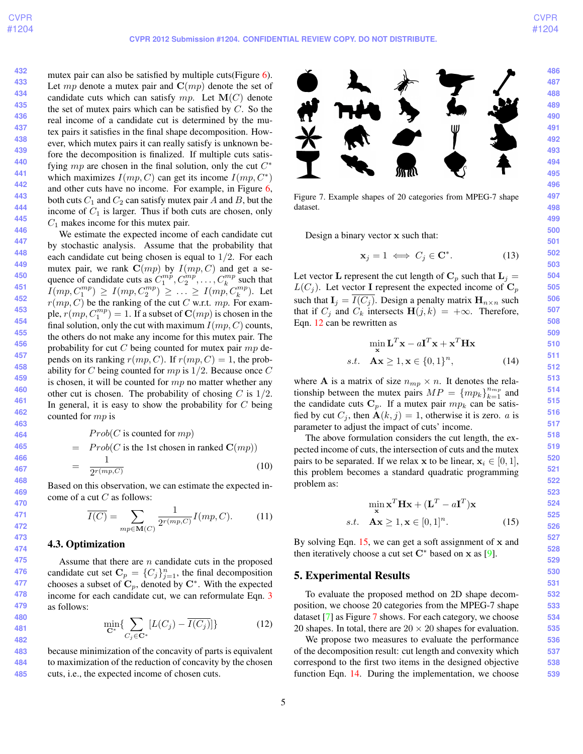<span id="page-4-5"></span>**432 433 434 435 436 437 438 439 440 441 442 443 444 445 446** mutex pair can also be satisfied by multiple cuts(Figure [6\)](#page-3-4). Let mp denote a mutex pair and  $C(mp)$  denote the set of candidate cuts which can satisfy  $mp$ . Let  $\mathbf{M}(C)$  denote the set of mutex pairs which can be satisfied by  $C$ . So the real income of a candidate cut is determined by the mutex pairs it satisfies in the final shape decomposition. However, which mutex pairs it can really satisfy is unknown before the decomposition is finalized. If multiple cuts satisfying  $mp$  are chosen in the final solution, only the cut  $C^*$ which maximizes  $I(mp, C)$  can get its income  $I(mp, C^*)$ and other cuts have no income. For example, in Figure [6,](#page-3-4) both cuts  $C_1$  and  $C_2$  can satisfy mutex pair A and B, but the income of  $C_1$  is larger. Thus if both cuts are chosen, only  $C_1$  makes income for this mutex pair.

We estimate the expected income of each candidate cut by stochastic analysis. Assume that the probability that each candidate cut being chosen is equal to  $1/2$ . For each mutex pair, we rank  $C(mp)$  by  $I(mp, C)$  and get a sequence of candidate cuts as  $C_1^{mp}, C_2^{mp}, \ldots, C_k^{mp}$  such that  $I(mp, C_1^{mp}) \ge I(mp, C_2^{mp}) \ge ... \ge I(mp, C_k^{mp})$ . Let  $r(mp, C)$  be the ranking of the cut C w.r.t. mp. For example,  $r(mp, C_1^{mp}) = 1$ . If a subset of  $\mathbf{C}(mp)$  is chosen in the final solution, only the cut with maximum  $I(mp, C)$  counts, the others do not make any income for this mutex pair. The probability for cut  $C$  being counted for mutex pair  $mp$  depends on its ranking  $r(mp, C)$ . If  $r(mp, C) = 1$ , the probability for C being counted for  $mp$  is  $1/2$ . Because once C is chosen, it will be counted for  $mp$  no matter whether any other cut is chosen. The probability of chosing  $C$  is  $1/2$ . In general, it is easy to show the probability for  $C$  being counted for mp is

> $Prob(C \text{ is counted for } mp)$  $= Prob(C \text{ is the 1st chosen in ranked } C(mp))$ = 1  $2^{r(mp,C)}$ (10)

Based on this observation, we can estimate the expected income of a cut  $C$  as follows:

$$
\overline{I(C)} = \sum_{mp \in \mathbf{M}(C)} \frac{1}{2^{r(mp,C)}} I(mp,C). \tag{11}
$$

### 4.3. Optimization

Assume that there are n candidate cuts in the proposed candidate cut set  $\mathbf{C}_p = \{C_j\}_{j=1}^n$ , the final decomposition chooses a subset of  $\mathbf{C}_p$ , denoted by  $\mathbf{C}^*$ . With the expected income for each candidate cut, we can reformulate Eqn. [3](#page-1-2) as follows:

<span id="page-4-1"></span>
$$
\min_{\mathbf{C}^*} \{ \sum_{C_j \in \mathbf{C}^*} [L(C_j) - \overline{I(C_j)}] \}
$$
(12)

**483 484 485** because minimization of the concavity of parts is equivalent to maximization of the reduction of concavity by the chosen cuts, i.e., the expected income of chosen cuts.



<span id="page-4-3"></span>Figure 7. Example shapes of 20 categories from MPEG-7 shape dataset.

Design a binary vector x such that:

$$
\mathbf{x}_j = 1 \iff C_j \in \mathbf{C}^*.
$$
 (13)

Let vector **L** represent the cut length of  $C_p$  such that  $L_j =$  $L(C_i)$ . Let vector **I** represent the expected income of  $C_p$ such that  $I_i = \overline{I(C_i)}$ . Design a penalty matrix  $H_{n \times n}$  such that if  $C_j$  and  $C_k$  intersects  $H(j, k) = +\infty$ . Therefore, Eqn. [12](#page-4-1) can be rewritten as

<span id="page-4-4"></span>
$$
\min_{\mathbf{x}} \mathbf{L}^{T} \mathbf{x} - a\mathbf{I}^{T} \mathbf{x} + \mathbf{x}^{T} \mathbf{H} \mathbf{x}
$$
  
s.t.  $\mathbf{A}\mathbf{x} \ge 1, \mathbf{x} \in \{0, 1\}^{n}$ , (14)

where **A** is a matrix of size  $n_{mp} \times n$ . It denotes the relationship between the mutex pairs  $MP = \{mp_k\}_{k=1}^{n_{mp}}$  and the candidate cuts  $\mathbf{C}_p$ . If a mutex pair  $mp_k$  can be satisfied by cut  $C_j$ , then  $\mathbf{A}(k, j) = 1$ , otherwise it is zero. *a* is parameter to adjust the impact of cuts' income.

The above formulation considers the cut length, the expected income of cuts, the intersection of cuts and the mutex pairs to be separated. If we relax x to be linear,  $x_i \in [0, 1]$ , this problem becomes a standard quadratic programming problem as:

<span id="page-4-2"></span>
$$
\min_{\mathbf{x}} \mathbf{x}^T \mathbf{H} \mathbf{x} + (\mathbf{L}^T - a\mathbf{I}^T) \mathbf{x}
$$
  
s.t.  $\mathbf{A}\mathbf{x} \ge 1, \mathbf{x} \in [0, 1]^n$ . (15)

By solving Eqn. [15,](#page-4-2) we can get a soft assignment of x and then iteratively choose a cut set  $C^*$  based on x as [\[9\]](#page-7-2).

# <span id="page-4-0"></span>5. Experimental Results

To evaluate the proposed method on 2D shape decomposition, we choose 20 categories from the MPEG-7 shape dataset [\[7\]](#page-7-12) as Figure [7](#page-4-3) shows. For each category, we choose 20 shapes. In total, there are  $20 \times 20$  shapes for evaluation.

We propose two measures to evaluate the performance of the decomposition result: cut length and convexity which correspond to the first two items in the designed objective function Eqn. [14.](#page-4-4) During the implementation, we choose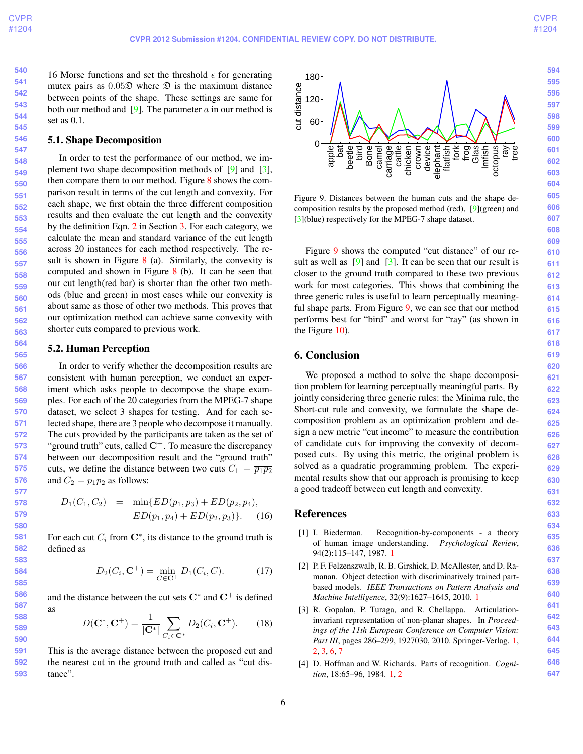**564 565**

<span id="page-5-6"></span>**540 541 542 543 544 545** 16 Morse functions and set the threshold  $\epsilon$  for generating mutex pairs as  $0.05\mathcal{D}$  where  $\mathcal{D}$  is the maximum distance between points of the shape. These settings are same for both our method and  $[9]$ . The parameter a in our method is set as 0.1.

#### 5.1. Shape Decomposition

**548 549 554 563** In order to test the performance of our method, we implement two shape decomposition methods of [\[9\]](#page-7-2) and [\[3\]](#page-5-3), then compare them to our method. Figure [8](#page-6-1) shows the comparison result in terms of the cut length and convexity. For each shape, we first obtain the three different composition results and then evaluate the cut length and the convexity by the definition Eqn. [2](#page-1-3) in Section [3.](#page-1-1) For each category, we calculate the mean and standard variance of the cut length across 20 instances for each method respectively. The result is shown in Figure  $8$  (a). Similarly, the convexity is computed and shown in Figure [8](#page-6-1) (b). It can be seen that our cut length(red bar) is shorter than the other two methods (blue and green) in most cases while our convexity is about same as those of other two methods. This proves that our optimization method can achieve same convexity with shorter cuts compared to previous work.

# 5.2. Human Perception

**566 567 568 569 570 571 572 573 574 575 576** In order to verify whether the decomposition results are consistent with human perception, we conduct an experiment which asks people to decompose the shape examples. For each of the 20 categories from the MPEG-7 shape dataset, we select 3 shapes for testing. And for each selected shape, there are 3 people who decompose it manually. The cuts provided by the participants are taken as the set of "ground truth" cuts, called  $C^+$ . To measure the discrepancy between our decomposition result and the "ground truth" cuts, we define the distance between two cuts  $C_1 = \overline{p_1 p_2}$ and  $C_2 = \overline{p_1p_2}$  as follows:

$$
D_1(C_1, C_2) = \min\{ED(p_1, p_3) + ED(p_2, p_4),
$$
  

$$
ED(p_1, p_4) + ED(p_2, p_3)\}.
$$
 (16)

For each cut  $C_i$  from  $\mathbb{C}^*$ , its distance to the ground truth is defined as

$$
D_2(C_i, \mathbf{C}^+) = \min_{C \in \mathbf{C}^+} D_1(C_i, C). \tag{17}
$$

and the distance between the cut sets  $\mathbf{C}^*$  and  $\mathbf{C}^+$  is defined as

$$
D(\mathbf{C}^*, \mathbf{C}^+) = \frac{1}{|\mathbf{C}^*|} \sum_{C_i \in \mathbf{C}^*} D_2(C_i, \mathbf{C}^+). \tag{18}
$$

**591 592 593** This is the average distance between the proposed cut and the nearest cut in the ground truth and called as "cut distance".



<span id="page-5-5"></span>Figure 9. Distances between the human cuts and the shape decomposition results by the proposed method (red), [\[9\]](#page-7-2)(green) and [\[3\]](#page-5-3)(blue) respectively for the MPEG-7 shape dataset.

Figure [9](#page-5-5) shows the computed "cut distance" of our result as well as  $[9]$  and  $[3]$ . It can be seen that our result is closer to the ground truth compared to these two previous work for most categories. This shows that combining the three generic rules is useful to learn perceptually meaningful shape parts. From Figure [9,](#page-5-5) we can see that our method performs best for "bird" and worst for "ray" (as shown in the Figure [10\)](#page-6-2).

# <span id="page-5-4"></span>6. Conclusion

We proposed a method to solve the shape decomposition problem for learning perceptually meaningful parts. By jointly considering three generic rules: the Minima rule, the Short-cut rule and convexity, we formulate the shape decomposition problem as an optimization problem and design a new metric "cut income" to measure the contribution of candidate cuts for improving the convexity of decomposed cuts. By using this metric, the original problem is solved as a quadratic programming problem. The experimental results show that our approach is promising to keep a good tradeoff between cut length and convexity.

# References

- <span id="page-5-1"></span>[1] I. Biederman. Recognition-by-components - a theory of human image understanding. *Psychological Review*, 94(2):115–147, 1987. [1](#page-0-0)
- <span id="page-5-0"></span>[2] P. F. Felzenszwalb, R. B. Girshick, D. McAllester, and D. Ramanan. Object detection with discriminatively trained partbased models. *IEEE Transactions on Pattern Analysis and Machine Intelligence*, 32(9):1627–1645, 2010. [1](#page-0-0)
- <span id="page-5-3"></span>[3] R. Gopalan, P. Turaga, and R. Chellappa. Articulationinvariant representation of non-planar shapes. In *Proceedings of the 11th European Conference on Computer Vision: Part III*, pages 286–299, 1927030, 2010. Springer-Verlag. [1,](#page-0-0) [2,](#page-1-4) [3,](#page-2-2) [6,](#page-5-6) [7](#page-6-3)
- <span id="page-5-2"></span>[4] D. Hoffman and W. Richards. Parts of recognition. *Cognition*, 18:65–96, 1984. [1,](#page-0-0) [2](#page-1-4)

**646 647**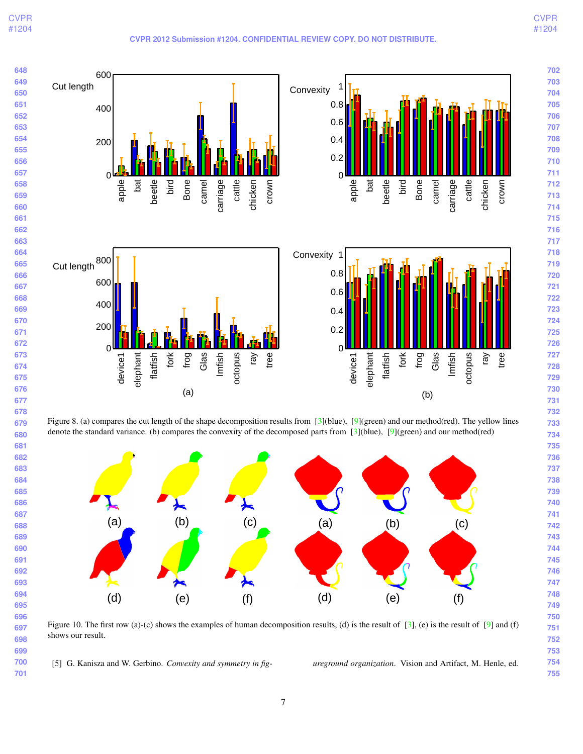<span id="page-6-3"></span>

<span id="page-6-2"></span><span id="page-6-1"></span>Figure 10. The first row (a)-(c) shows the examples of human decomposition results, (d) is the result of [\[3\]](#page-5-3), (e) is the result of [\[9\]](#page-7-2) and (f) shows our result.

<span id="page-6-0"></span>[5] G. Kanisza and W. Gerbino. *Convexity and symmetry in fig- ureground organization*. Vision and Artifact, M. Henle, ed.